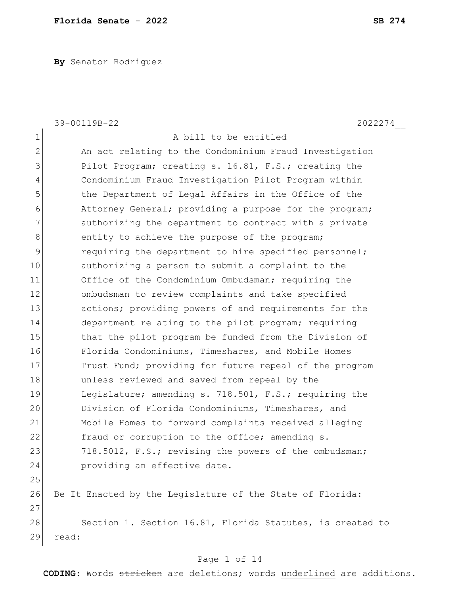**By** Senator Rodriguez

|                | 39-00119B-22<br>2022274                                   |
|----------------|-----------------------------------------------------------|
| $1\,$          | A bill to be entitled                                     |
| $\overline{2}$ | An act relating to the Condominium Fraud Investigation    |
| 3              | Pilot Program; creating s. 16.81, F.S.; creating the      |
| $\overline{4}$ | Condominium Fraud Investigation Pilot Program within      |
| 5              | the Department of Legal Affairs in the Office of the      |
| 6              | Attorney General; providing a purpose for the program;    |
| $\overline{7}$ | authorizing the department to contract with a private     |
| $\,8\,$        | entity to achieve the purpose of the program;             |
| $\mathcal{G}$  | requiring the department to hire specified personnel;     |
| 10             | authorizing a person to submit a complaint to the         |
| 11             | Office of the Condominium Ombudsman; requiring the        |
| 12             | ombudsman to review complaints and take specified         |
| 13             | actions; providing powers of and requirements for the     |
| 14             | department relating to the pilot program; requiring       |
| 15             | that the pilot program be funded from the Division of     |
| 16             | Florida Condominiums, Timeshares, and Mobile Homes        |
| 17             | Trust Fund; providing for future repeal of the program    |
| 18             | unless reviewed and saved from repeal by the              |
| 19             | Legislature; amending s. 718.501, F.S.; requiring the     |
| 20             | Division of Florida Condominiums, Timeshares, and         |
| 21             | Mobile Homes to forward complaints received alleging      |
| 22             | fraud or corruption to the office; amending s.            |
| 23             | 718.5012, F.S.; revising the powers of the ombudsman;     |
| 24             | providing an effective date.                              |
| 25             |                                                           |
| 26             | Be It Enacted by the Legislature of the State of Florida: |
| 27             |                                                           |
| 28             | Section 1. Section 16.81, Florida Statutes, is created to |
| 29             | read:                                                     |
|                |                                                           |

## Page 1 of 14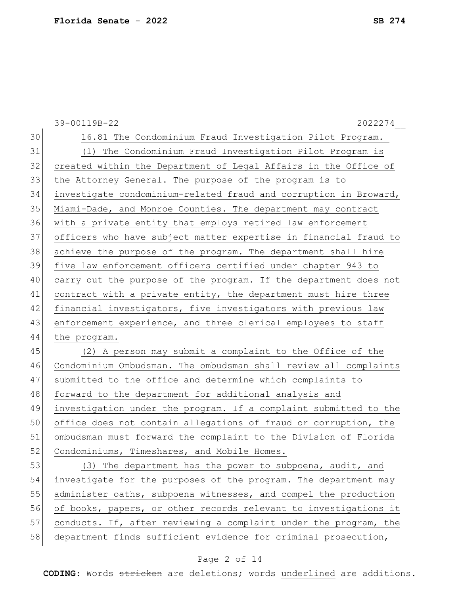|    | 39-00119B-22<br>2022274                                          |
|----|------------------------------------------------------------------|
| 30 | 16.81 The Condominium Fraud Investigation Pilot Program.-        |
| 31 | (1) The Condominium Fraud Investigation Pilot Program is         |
| 32 | created within the Department of Legal Affairs in the Office of  |
| 33 | the Attorney General. The purpose of the program is to           |
| 34 | investigate condominium-related fraud and corruption in Broward, |
| 35 | Miami-Dade, and Monroe Counties. The department may contract     |
| 36 | with a private entity that employs retired law enforcement       |
| 37 | officers who have subject matter expertise in financial fraud to |
| 38 | achieve the purpose of the program. The department shall hire    |
| 39 | five law enforcement officers certified under chapter 943 to     |
| 40 | carry out the purpose of the program. If the department does not |
| 41 | contract with a private entity, the department must hire three   |
| 42 | financial investigators, five investigators with previous law    |
| 43 | enforcement experience, and three clerical employees to staff    |
| 44 | the program.                                                     |
| 45 | (2) A person may submit a complaint to the Office of the         |
| 46 | Condominium Ombudsman. The ombudsman shall review all complaints |
| 47 | submitted to the office and determine which complaints to        |
| 48 | forward to the department for additional analysis and            |
| 49 | investigation under the program. If a complaint submitted to the |
| 50 | office does not contain allegations of fraud or corruption, the  |
| 51 | ombudsman must forward the complaint to the Division of Florida  |
| 52 | Condominiums, Timeshares, and Mobile Homes.                      |
| 53 | (3) The department has the power to subpoena, audit, and         |
| 54 | investigate for the purposes of the program. The department may  |
| 55 | administer oaths, subpoena witnesses, and compel the production  |
| 56 | of books, papers, or other records relevant to investigations it |
| 57 | conducts. If, after reviewing a complaint under the program, the |
| 58 | department finds sufficient evidence for criminal prosecution,   |
|    |                                                                  |

# Page 2 of 14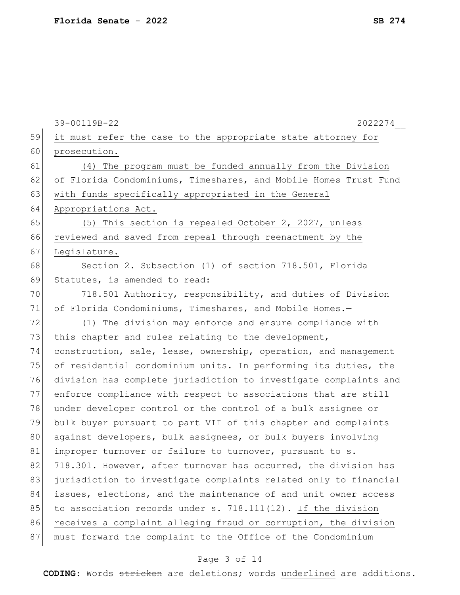|    | 39-00119B-22<br>2022274                                          |
|----|------------------------------------------------------------------|
| 59 | it must refer the case to the appropriate state attorney for     |
| 60 | prosecution.                                                     |
| 61 | (4) The program must be funded annually from the Division        |
| 62 | of Florida Condominiums, Timeshares, and Mobile Homes Trust Fund |
| 63 | with funds specifically appropriated in the General              |
| 64 | Appropriations Act.                                              |
| 65 | (5) This section is repealed October 2, 2027, unless             |
| 66 | reviewed and saved from repeal through reenactment by the        |
| 67 | Legislature.                                                     |
| 68 | Section 2. Subsection (1) of section 718.501, Florida            |
| 69 | Statutes, is amended to read:                                    |
| 70 | 718.501 Authority, responsibility, and duties of Division        |
| 71 | of Florida Condominiums, Timeshares, and Mobile Homes.-          |
| 72 | (1) The division may enforce and ensure compliance with          |
| 73 | this chapter and rules relating to the development,              |
| 74 | construction, sale, lease, ownership, operation, and management  |
| 75 | of residential condominium units. In performing its duties, the  |
| 76 | division has complete jurisdiction to investigate complaints and |
| 77 | enforce compliance with respect to associations that are still   |
| 78 | under developer control or the control of a bulk assignee or     |
| 79 | bulk buyer pursuant to part VII of this chapter and complaints   |
| 80 | against developers, bulk assignees, or bulk buyers involving     |
| 81 | improper turnover or failure to turnover, pursuant to s.         |
| 82 | 718.301. However, after turnover has occurred, the division has  |
| 83 | jurisdiction to investigate complaints related only to financial |
| 84 | issues, elections, and the maintenance of and unit owner access  |
| 85 | to association records under s. 718.111(12). If the division     |
| 86 | receives a complaint alleging fraud or corruption, the division  |
| 87 | must forward the complaint to the Office of the Condominium      |
|    |                                                                  |

# Page 3 of 14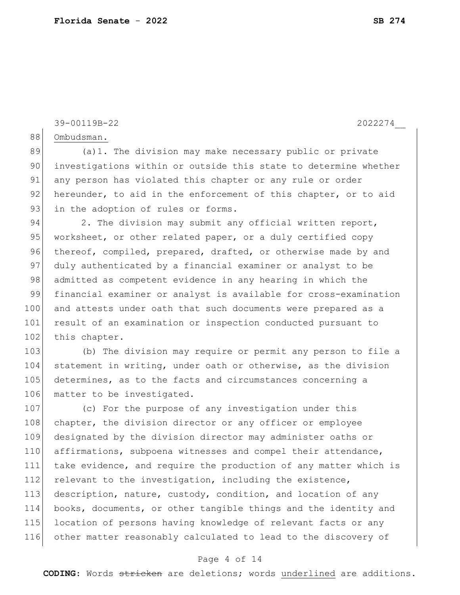39-00119B-22 2022274\_\_

88 Ombudsman.

89 (a)1. The division may make necessary public or private 90 investigations within or outside this state to determine whether 91 any person has violated this chapter or any rule or order 92 hereunder, to aid in the enforcement of this chapter, or to aid 93 in the adoption of rules or forms.

94 2. The division may submit any official written report, 95 worksheet, or other related paper, or a duly certified copy 96 thereof, compiled, prepared, drafted, or otherwise made by and 97 duly authenticated by a financial examiner or analyst to be 98 admitted as competent evidence in any hearing in which the 99 financial examiner or analyst is available for cross-examination 100 and attests under oath that such documents were prepared as a 101 result of an examination or inspection conducted pursuant to 102 this chapter.

103 (b) The division may require or permit any person to file a 104 statement in writing, under oath or otherwise, as the division 105 determines, as to the facts and circumstances concerning a 106 matter to be investigated.

107 (c) For the purpose of any investigation under this 108 chapter, the division director or any officer or employee 109 designated by the division director may administer oaths or 110 affirmations, subpoena witnesses and compel their attendance, 111 take evidence, and require the production of any matter which is 112 relevant to the investigation, including the existence, 113 description, nature, custody, condition, and location of any 114 books, documents, or other tangible things and the identity and 115 location of persons having knowledge of relevant facts or any 116 other matter reasonably calculated to lead to the discovery of

#### Page 4 of 14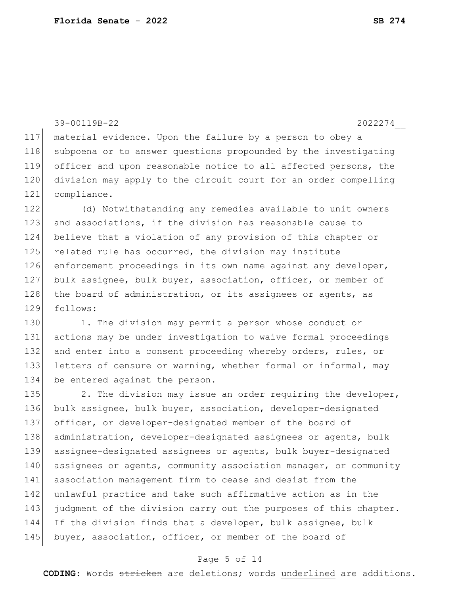```
39-00119B-22 2022274__
117 material evidence. Upon the failure by a person to obey a 
118 subpoena or to answer questions propounded by the investigating
119 officer and upon reasonable notice to all affected persons, the 
120 division may apply to the circuit court for an order compelling 
121 compliance.
122 (d) Notwithstanding any remedies available to unit owners 
123 and associations, if the division has reasonable cause to 
124 believe that a violation of any provision of this chapter or 
125 related rule has occurred, the division may institute
126 enforcement proceedings in its own name against any developer,
127 bulk assignee, bulk buyer, association, officer, or member of
128 the board of administration, or its assignees or agents, as
129 follows:
130 1. The division may permit a person whose conduct or
131 actions may be under investigation to waive formal proceedings 
132 and enter into a consent proceeding whereby orders, rules, or
133 letters of censure or warning, whether formal or informal, may
134 be entered against the person.
135 2. The division may issue an order requiring the developer,
136 bulk assignee, bulk buyer, association, developer-designated 
137 officer, or developer-designated member of the board of 
138 administration, developer-designated assignees or agents, bulk 
139 assignee-designated assignees or agents, bulk buyer-designated 
140 assignees or agents, community association manager, or community
141 association management firm to cease and desist from the 
142 unlawful practice and take such affirmative action as in the
```
Page 5 of 14

143 judgment of the division carry out the purposes of this chapter.

144 If the division finds that a developer, bulk assignee, bulk

145 buyer, association, officer, or member of the board of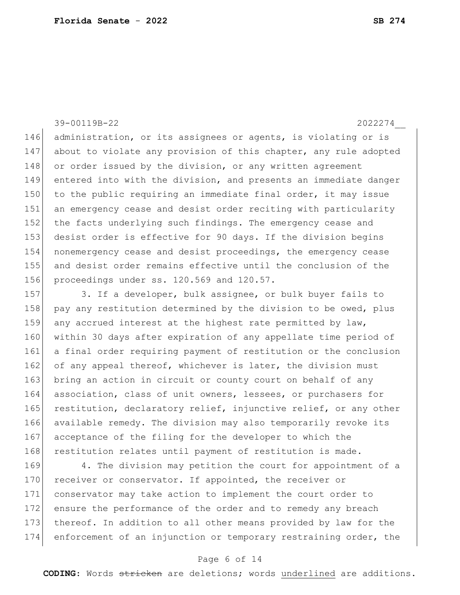39-00119B-22 2022274\_\_

146 administration, or its assignees or agents, is violating or is 147 about to violate any provision of this chapter, any rule adopted 148 or order issued by the division, or any written agreement 149 entered into with the division, and presents an immediate danger 150 to the public requiring an immediate final order, it may issue 151 an emergency cease and desist order reciting with particularity 152 the facts underlying such findings. The emergency cease and 153 desist order is effective for 90 days. If the division begins 154 nonemergency cease and desist proceedings, the emergency cease 155 and desist order remains effective until the conclusion of the 156 proceedings under ss. 120.569 and 120.57.

157 3. If a developer, bulk assignee, or bulk buyer fails to 158 pay any restitution determined by the division to be owed, plus 159 any accrued interest at the highest rate permitted by law, 160 within 30 days after expiration of any appellate time period of 161 a final order requiring payment of restitution or the conclusion 162 of any appeal thereof, whichever is later, the division must 163 bring an action in circuit or county court on behalf of any 164 association, class of unit owners, lessees, or purchasers for 165 restitution, declaratory relief, injunctive relief, or any other 166 available remedy. The division may also temporarily revoke its 167 acceptance of the filing for the developer to which the 168 restitution relates until payment of restitution is made.

169 4. The division may petition the court for appointment of a 170 receiver or conservator. If appointed, the receiver or 171 conservator may take action to implement the court order to 172 ensure the performance of the order and to remedy any breach 173 thereof. In addition to all other means provided by law for the 174 enforcement of an injunction or temporary restraining order, the

### Page 6 of 14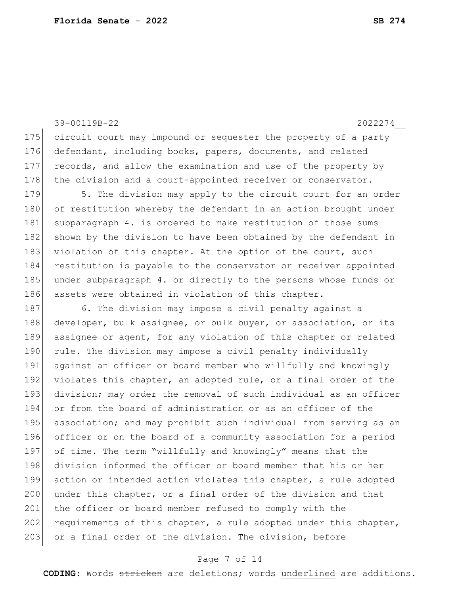176 defendant, including books, papers, documents, and related 177 records, and allow the examination and use of the property by 178 the division and a court-appointed receiver or conservator. 179 5. The division may apply to the circuit court for an order 180 of restitution whereby the defendant in an action brought under 181 subparagraph 4. is ordered to make restitution of those sums 182 shown by the division to have been obtained by the defendant in 183 violation of this chapter. At the option of the court, such 184 restitution is payable to the conservator or receiver appointed 185 under subparagraph 4. or directly to the persons whose funds or 186 assets were obtained in violation of this chapter. 187 6. The division may impose a civil penalty against a 188 developer, bulk assignee, or bulk buyer, or association, or its 189 assignee or agent, for any violation of this chapter or related 190 rule. The division may impose a civil penalty individually 191 against an officer or board member who willfully and knowingly 192 violates this chapter, an adopted rule, or a final order of the 193 division; may order the removal of such individual as an officer 194 or from the board of administration or as an officer of the 195 association; and may prohibit such individual from serving as an 196 officer or on the board of a community association for a period 197 of time. The term "willfully and knowingly" means that the 198 division informed the officer or board member that his or her 199 action or intended action violates this chapter, a rule adopted 200 under this chapter, or a final order of the division and that 201 the officer or board member refused to comply with the 202 requirements of this chapter, a rule adopted under this chapter,

39-00119B-22 2022274\_\_

175 circuit court may impound or sequester the property of a party

### Page 7 of 14

203 or a final order of the division. The division, before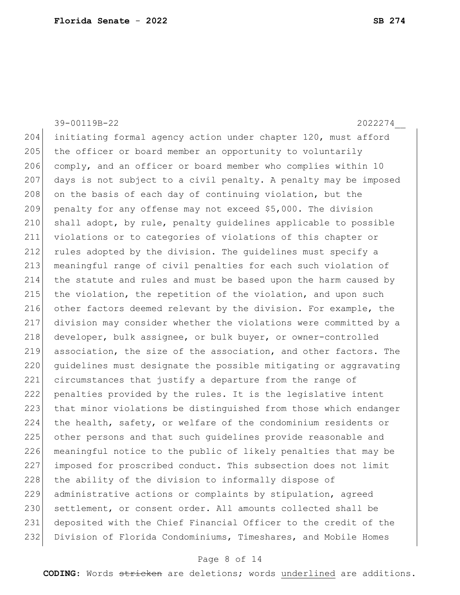## 39-00119B-22 2022274\_\_

204 initiating formal agency action under chapter 120, must afford 205 the officer or board member an opportunity to voluntarily 206 comply, and an officer or board member who complies within 10 207 days is not subject to a civil penalty. A penalty may be imposed 208 on the basis of each day of continuing violation, but the 209 penalty for any offense may not exceed \$5,000. The division 210 shall adopt, by rule, penalty guidelines applicable to possible 211 violations or to categories of violations of this chapter or 212 rules adopted by the division. The guidelines must specify a 213 meaningful range of civil penalties for each such violation of 214 the statute and rules and must be based upon the harm caused by 215 the violation, the repetition of the violation, and upon such 216 other factors deemed relevant by the division. For example, the 217 division may consider whether the violations were committed by a 218 developer, bulk assignee, or bulk buyer, or owner-controlled 219 association, the size of the association, and other factors. The 220 quidelines must designate the possible mitigating or aggravating 221 circumstances that justify a departure from the range of 222 penalties provided by the rules. It is the legislative intent 223 that minor violations be distinguished from those which endanger 224 the health, safety, or welfare of the condominium residents or 225 other persons and that such guidelines provide reasonable and 226 meaningful notice to the public of likely penalties that may be 227 imposed for proscribed conduct. This subsection does not limit 228 the ability of the division to informally dispose of 229 administrative actions or complaints by stipulation, agreed 230 settlement, or consent order. All amounts collected shall be 231 deposited with the Chief Financial Officer to the credit of the 232 Division of Florida Condominiums, Timeshares, and Mobile Homes

#### Page 8 of 14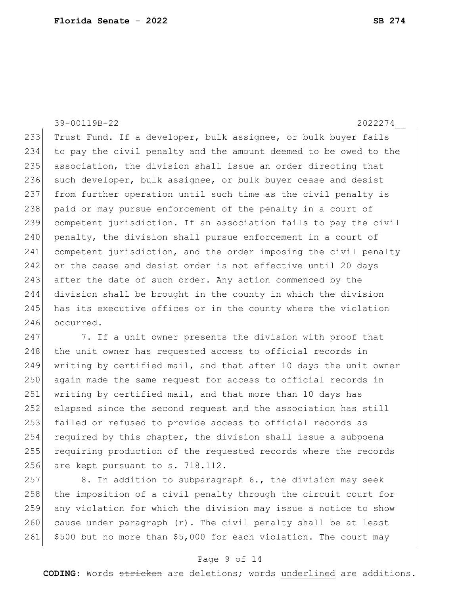39-00119B-22 2022274\_\_ 233 Trust Fund. If a developer, bulk assignee, or bulk buyer fails 234 to pay the civil penalty and the amount deemed to be owed to the 235 association, the division shall issue an order directing that 236 such developer, bulk assignee, or bulk buyer cease and desist 237 from further operation until such time as the civil penalty is 238 paid or may pursue enforcement of the penalty in a court of 239 competent jurisdiction. If an association fails to pay the civil 240 penalty, the division shall pursue enforcement in a court of 241 competent jurisdiction, and the order imposing the civil penalty 242 or the cease and desist order is not effective until 20 days 243 after the date of such order. Any action commenced by the 244 division shall be brought in the county in which the division 245 has its executive offices or in the county where the violation 246 occurred.

247 7. If a unit owner presents the division with proof that 248 the unit owner has requested access to official records in 249 writing by certified mail, and that after 10 days the unit owner 250 again made the same request for access to official records in 251 writing by certified mail, and that more than 10 days has 252 elapsed since the second request and the association has still 253 failed or refused to provide access to official records as 254 required by this chapter, the division shall issue a subpoena 255 requiring production of the requested records where the records 256 are kept pursuant to s. 718.112.

257 8. In addition to subparagraph 6., the division may seek 258 the imposition of a civil penalty through the circuit court for 259 any violation for which the division may issue a notice to show 260 cause under paragraph  $(r)$ . The civil penalty shall be at least 261 \$500 but no more than \$5,000 for each violation. The court may

#### Page 9 of 14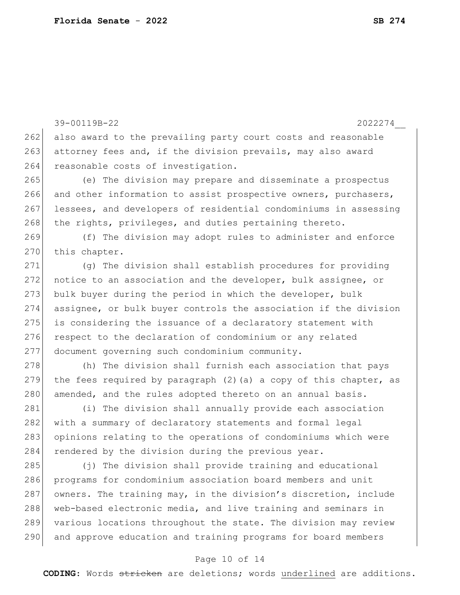39-00119B-22 2022274\_\_ 262 also award to the prevailing party court costs and reasonable 263 attorney fees and, if the division prevails, may also award 264 reasonable costs of investigation. 265 (e) The division may prepare and disseminate a prospectus 266 and other information to assist prospective owners, purchasers, 267 lessees, and developers of residential condominiums in assessing 268 the rights, privileges, and duties pertaining thereto. 269 (f) The division may adopt rules to administer and enforce 270 this chapter. 271 (g) The division shall establish procedures for providing 272 notice to an association and the developer, bulk assignee, or 273 bulk buyer during the period in which the developer, bulk 274 assignee, or bulk buyer controls the association if the division 275 is considering the issuance of a declaratory statement with 276 respect to the declaration of condominium or any related 277 document governing such condominium community. 278 (h) The division shall furnish each association that pays 279 the fees required by paragraph (2) (a) a copy of this chapter, as 280 amended, and the rules adopted thereto on an annual basis. 281 (i) The division shall annually provide each association 282 with a summary of declaratory statements and formal legal 283 opinions relating to the operations of condominiums which were 284 rendered by the division during the previous year. 285 (j) The division shall provide training and educational 286 programs for condominium association board members and unit 287 owners. The training may, in the division's discretion, include 288 web-based electronic media, and live training and seminars in 289 various locations throughout the state. The division may review 290 and approve education and training programs for board members

### Page 10 of 14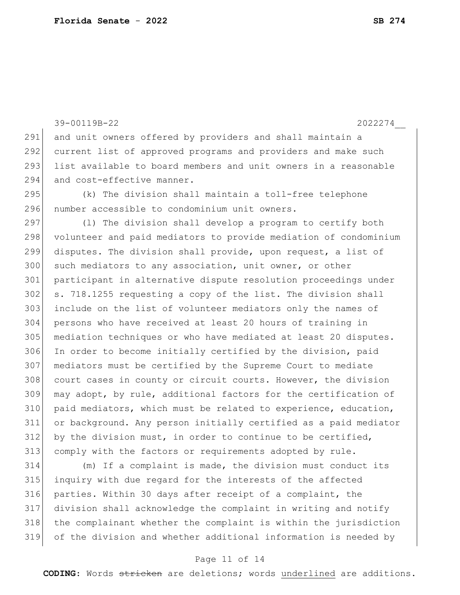39-00119B-22 2022274\_\_ 291 and unit owners offered by providers and shall maintain a current list of approved programs and providers and make such list available to board members and unit owners in a reasonable 294 and cost-effective manner. (k) The division shall maintain a toll-free telephone number accessible to condominium unit owners. 297 (1) The division shall develop a program to certify both 298 volunteer and paid mediators to provide mediation of condominium disputes. The division shall provide, upon request, a list of 300 such mediators to any association, unit owner, or other participant in alternative dispute resolution proceedings under s. 718.1255 requesting a copy of the list. The division shall include on the list of volunteer mediators only the names of persons who have received at least 20 hours of training in mediation techniques or who have mediated at least 20 disputes. In order to become initially certified by the division, paid mediators must be certified by the Supreme Court to mediate 308 court cases in county or circuit courts. However, the division may adopt, by rule, additional factors for the certification of 310 paid mediators, which must be related to experience, education, or background. Any person initially certified as a paid mediator by the division must, in order to continue to be certified, comply with the factors or requirements adopted by rule.

 (m) If a complaint is made, the division must conduct its inquiry with due regard for the interests of the affected parties. Within 30 days after receipt of a complaint, the division shall acknowledge the complaint in writing and notify the complainant whether the complaint is within the jurisdiction of the division and whether additional information is needed by

#### Page 11 of 14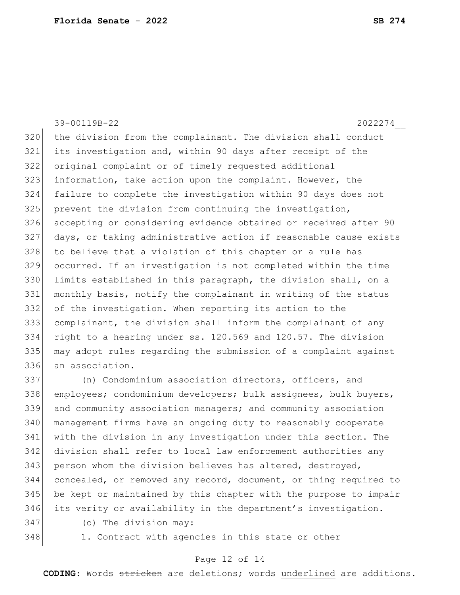39-00119B-22 2022274\_\_ the division from the complainant. The division shall conduct its investigation and, within 90 days after receipt of the original complaint or of timely requested additional information, take action upon the complaint. However, the failure to complete the investigation within 90 days does not prevent the division from continuing the investigation, accepting or considering evidence obtained or received after 90 days, or taking administrative action if reasonable cause exists 328 to believe that a violation of this chapter or a rule has occurred. If an investigation is not completed within the time 330 limits established in this paragraph, the division shall, on a monthly basis, notify the complainant in writing of the status of the investigation. When reporting its action to the complainant, the division shall inform the complainant of any right to a hearing under ss. 120.569 and 120.57. The division may adopt rules regarding the submission of a complaint against an association.

337 (n) Condominium association directors, officers, and employees; condominium developers; bulk assignees, bulk buyers, and community association managers; and community association management firms have an ongoing duty to reasonably cooperate with the division in any investigation under this section. The division shall refer to local law enforcement authorities any 343 person whom the division believes has altered, destroyed, 344 concealed, or removed any record, document, or thing required to be kept or maintained by this chapter with the purpose to impair its verity or availability in the department's investigation.

- -

(o) The division may:

348 1. Contract with agencies in this state or other

#### Page 12 of 14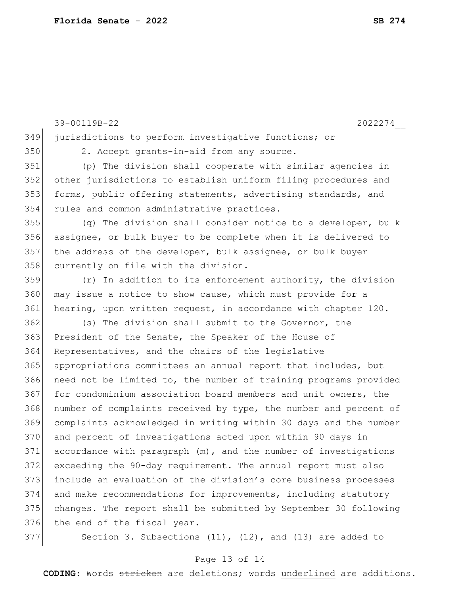|     | 39-00119B-22<br>2022274                                          |
|-----|------------------------------------------------------------------|
| 349 | jurisdictions to perform investigative functions; or             |
| 350 | 2. Accept grants-in-aid from any source.                         |
| 351 | (p) The division shall cooperate with similar agencies in        |
| 352 | other jurisdictions to establish uniform filing procedures and   |
| 353 | forms, public offering statements, advertising standards, and    |
| 354 | rules and common administrative practices.                       |
| 355 | (q) The division shall consider notice to a developer, bulk      |
| 356 | assignee, or bulk buyer to be complete when it is delivered to   |
| 357 | the address of the developer, bulk assignee, or bulk buyer       |
| 358 | currently on file with the division.                             |
| 359 | $(r)$ In addition to its enforcement authority, the division     |
| 360 | may issue a notice to show cause, which must provide for a       |
| 361 | hearing, upon written request, in accordance with chapter 120.   |
| 362 | (s) The division shall submit to the Governor, the               |
| 363 | President of the Senate, the Speaker of the House of             |
| 364 | Representatives, and the chairs of the legislative               |
| 365 | appropriations committees an annual report that includes, but    |
| 366 | need not be limited to, the number of training programs provided |
| 367 | for condominium association board members and unit owners, the   |
| 368 | number of complaints received by type, the number and percent of |
| 369 | complaints acknowledged in writing within 30 days and the number |
| 370 | and percent of investigations acted upon within 90 days in       |
| 371 | accordance with paragraph (m), and the number of investigations  |
| 372 | exceeding the 90-day requirement. The annual report must also    |
| 373 | include an evaluation of the division's core business processes  |
| 374 | and make recommendations for improvements, including statutory   |
| 375 | changes. The report shall be submitted by September 30 following |
| 376 | the end of the fiscal year.                                      |
| 377 | Section 3. Subsections $(11)$ , $(12)$ , and $(13)$ are added to |

# Page 13 of 14